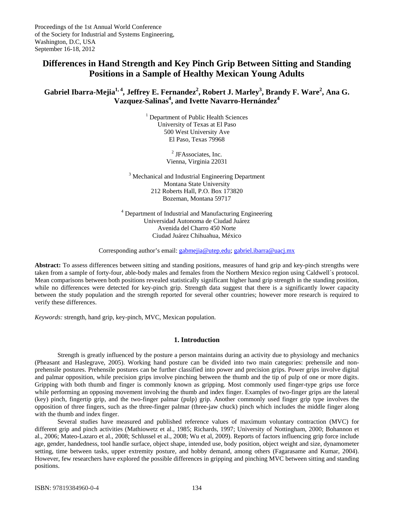# **Differences in Hand Strength and Key Pinch Grip Between Sitting and Standing Positions in a Sample of Healthy Mexican Young Adults**

 $G$ abriel Ibarra-Mejia<sup>1, 4</sup>, Jeffrey E. Fernandez<sup>2</sup>, Robert J. Marley<sup>3</sup>, Brandy F. Ware<sup>2</sup>, Ana G. **Vazquez-Salinas<sup>4</sup> , and Ivette Navarro-Hernández4**

> <sup>1</sup> Department of Public Health Sciences University of Texas at El Paso 500 West University Ave El Paso, Texas 79968

> > <sup>2</sup> JFAssociates, Inc. Vienna, Virginia 22031

<sup>3</sup> Mechanical and Industrial Engineering Department Montana State University 212 Roberts Hall, P.O. Box 173820 Bozeman, Montana 59717

<sup>4</sup> Department of Industrial and Manufacturing Engineering Universidad Autonoma de Ciudad Juárez Avenida del Charro 450 Norte Ciudad Juárez Chihuahua, México

Corresponding author's email: gabmejia@utep.edu; gabriel.ibarra@uacj.mx

**Abstract:** To assess differences between sitting and standing positions, measures of hand grip and key-pinch strengths were taken from a sample of forty-four, able-body males and females from the Northern Mexico region using Caldwell´s protocol. Mean comparisons between both positions revealed statistically significant higher hand grip strength in the standing position, while no differences were detected for key-pinch grip. Strength data suggest that there is a significantly lower capacity between the study population and the strength reported for several other countries; however more research is required to verify these differences.

*Keywords:* strength, hand grip, key-pinch, MVC, Mexican population.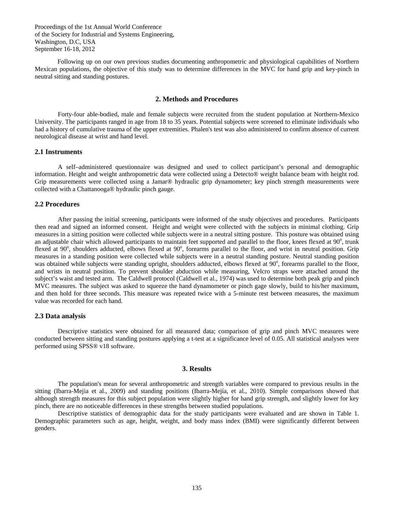Following up on our own previous studies documenting anthropometric and physiological capabilities of Northern Mexican populations, the objective of this study was to determine differences in the MVC for hand grip and key-pinch in neutral sitting and standing postures.

## **2. Methods and Procedures**

Forty-four able-bodied, male and female subjects were recruited from the student population at Northern-Mexico University. The participants ranged in age from 18 to 35 years. Potential subjects were screened to eliminate individuals who had a history of cumulative trauma of the upper extremities. Phalen's test was also administered to confirm absence of current neurological disease at wrist and hand level.

#### **2.1 Instruments**

A self–administered questionnaire was designed and used to collect participant's personal and demographic information. Height and weight anthropometric data were collected using a Detecto® weight balance beam with height rod. Grip measurements were collected using a Jamar® hydraulic grip dynamometer; key pinch strength measurements were collected with a Chattanooga® hydraulic pinch gauge.

#### **2.2 Procedures**

After passing the initial screening, participants were informed of the study objectives and procedures. Participants then read and signed an informed consent. Height and weight were collected with the subjects in minimal clothing. Grip measures in a sitting position were collected while subjects were in a neutral sitting posture. This posture was obtained using an adjustable chair which allowed participants to maintain feet supported and parallel to the floor, knees flexed at  $90^\circ$ , trunk flexed at 90°, shoulders adducted, elbows flexed at 90°, forearms parallel to the floor, and wrist in neutral position. Grip measures in a standing position were collected while subjects were in a neutral standing posture. Neutral standing position was obtained while subjects were standing upright, shoulders adducted, elbows flexed at 90°, forearms parallel to the floor, and wrists in neutral position. To prevent shoulder abduction while measuring, Velcro straps were attached around the subject's waist and tested arm. The Caldwell protocol (Caldwell et al., 1974) was used to determine both peak grip and pinch MVC measures. The subject was asked to squeeze the hand dynamometer or pinch gage slowly, build to his/her maximum, and then hold for three seconds. This measure was repeated twice with a 5-minute rest between measures, the maximum value was recorded for each hand.

#### **2.3 Data analysis**

Descriptive statistics were obtained for all measured data; comparison of grip and pinch MVC measures were conducted between sitting and standing postures applying a t-test at a significance level of 0.05. All statistical analyses were performed using SPSS® v18 software.

#### **3. Results**

The population's mean for several anthropometric and strength variables were compared to previous results in the sitting (Ibarra-Mejia et al., 2009) and standing positions (Ibarra-Mejía, et al., 2010). Simple comparisons showed that although strength measures for this subject population were slightly higher for hand grip strength, and slightly lower for key pinch, there are no noticeable differences in these strengths between studied populations.

Descriptive statistics of demographic data for the study participants were evaluated and are shown in Table 1. Demographic parameters such as age, height, weight, and body mass index (BMI) were significantly different between genders.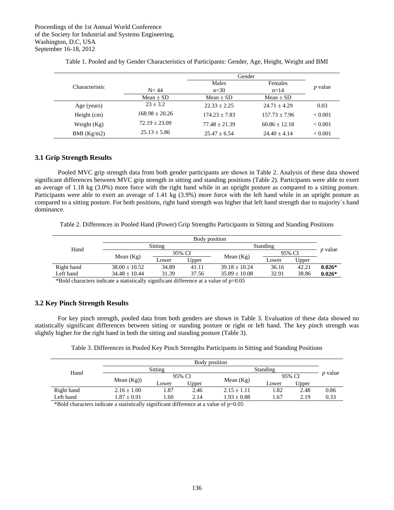|                |                    | Gender          |                 |                |
|----------------|--------------------|-----------------|-----------------|----------------|
| Characteristic |                    | Males           | Females         |                |
|                | $N = 44$           | $n=30$          | $n=14$          | <i>p</i> value |
|                | Mean $\pm$ SD      | $Mean + SD$     | Mean $\pm$ SD   |                |
| Age (years)    | $23 + 3.2$         | $22.33 + 2.25$  | $24.71 + 4.29$  | 0.03           |
| Height (cm)    | $168.98 \pm 20.26$ | $174.23 + 7.83$ | $157.73 + 7.96$ | ${}_{< 0.001}$ |
| Weight $(Kg)$  | $72.19 + 23.09$    | $77.48 + 21.39$ | $60.86 + 12.18$ | ${}_{< 0.001}$ |
| BMI $(Kg/m2)$  | $25.13 \pm 5.86$   | $25.47 + 6.54$  | $24.40 + 4.14$  | ${}_{< 0.001}$ |

Table 1. Pooled and by Gender Characteristics of Participants: Gender, Age, Height, Weight and BMI

## **3.1 Grip Strength Results**

Pooled MVC grip strength data from both gender participants are shown in Table 2. Analysis of these data showed significant differences between MVC grip strength in sitting and standing positions (Table 2). Participants were able to exert an average of 1.18 kg (3.0%) more force with the right hand while in an upright posture as compared to a sitting posture. Participants were able to exert an average of 1.41 kg (3.9%) more force with the left hand while in an upright posture as compared to a sitting posture. For both positions, right hand strength was higher that left hand strength due to majority´s hand dominance.

Table 2. Differences in Pooled Hand (Power) Grip Strengths Participants in Sitting and Standing Positions

| Hand            | Body position                                                                                                                                                                                                                |                            |       |                   |          |       |                |
|-----------------|------------------------------------------------------------------------------------------------------------------------------------------------------------------------------------------------------------------------------|----------------------------|-------|-------------------|----------|-------|----------------|
|                 | Sitting                                                                                                                                                                                                                      |                            |       |                   | Standing |       |                |
|                 |                                                                                                                                                                                                                              | 95% CI                     |       |                   | 95% CI   |       | <i>p</i> value |
|                 | Mean $(Kg)$                                                                                                                                                                                                                  | Lower                      | Upper | Mean $(Kg)$       | Lower    | Upper |                |
| Right hand      | $38.00 \pm 10.52$                                                                                                                                                                                                            | 34.89                      | 41.11 | $39.18 + 10.24$   | 36.16    | 42.21 | $0.026*$       |
| Left hand       | $34.48 \pm 10.44$                                                                                                                                                                                                            | 31.39                      | 37.56 | $35.89 \pm 10.08$ | 32.91    | 38.86 | $0.026*$       |
| 47.11<br>$\sim$ | $1.11$ . The contract of the contract of the contract of the contract of the contract of the contract of the contract of the contract of the contract of the contract of the contract of the contract of the contract of the | $\cdot$ $\sim$<br>$\cdots$ |       | $\Omega$          |          |       |                |

\*Bold characters indicate a statistically significant difference at a value of p=0.05

## **3.2 Key Pinch Strength Results**

 For key pinch strength, pooled data from both genders are shown in Table 3. Evaluation of these data showed no statistically significant differences between sitting or standing posture or right or left hand. The key pinch strength was slightly higher for the right hand in both the sitting and standing posture (Table 3).

|  |  |  | Table 3. Differences in Pooled Key Pinch Strengths Participants in Sitting and Standing Positions |
|--|--|--|---------------------------------------------------------------------------------------------------|
|  |  |  |                                                                                                   |

| Hand       | Body position   |         |       |                 |          |       |                |
|------------|-----------------|---------|-------|-----------------|----------|-------|----------------|
|            |                 | Sitting |       |                 | Standing |       |                |
|            | Mean $(Kg)$ )   | 95% CI  |       |                 | 95% CI   |       | <i>p</i> value |
|            |                 | Lower   | Upper | Mean $(Kg)$     | Lower    | Upper |                |
| Right hand | $2.16 \pm 1.00$ | 1.87    | 2.46  | $2.15 + 1.11$   | 1.82     | 2.48  | 0.86           |
| Left hand  | $.87 \pm 0.91$  | 1.60    | 2.14  | $1.93 \pm 0.88$ | 1.67     | 2.19  | 0.33           |

\*Bold characters indicate a statistically significant difference at a value of p=0.05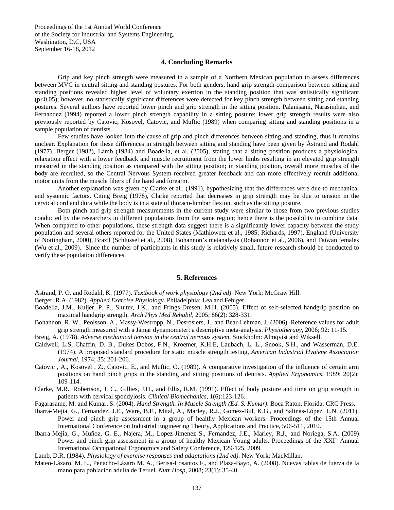### **4. Concluding Remarks**

Grip and key pinch strength were measured in a sample of a Northern Mexican population to assess differences between MVC in neutral sitting and standing postures. For both genders, hand grip strength comparison between sitting and standing positions revealed higher level of voluntary exertion in the standing position that was statistically significant (p<0.05); however, no statistically significant differences were detected for key pinch strength between sitting and standing postures. Several authors have reported lower pinch and grip strength in the sitting position. Palanisami, Narasimhan, and Fernandez (1994) reported a lower pinch strength capability in a sitting posture; lower grip strength results were also previously reported by Catovic, Kosovel, Catovic, and Muftic (1989) when comparing sitting and standing positions in a sample population of dentists.

Few studies have looked into the cause of grip and pinch differences between sitting and standing, thus it remains unclear. Explanation for these differences in strength between sitting and standing have been given by Åstrand and Rodahl (1977), Berger (1982), Lamb (1984) and Boadella, et al. (2005), stating that a sitting position produces a physiological relaxation effect with a lower feedback and muscle recruitment from the lower limbs resulting in an elevated grip strength measured in the standing position as compared with the sitting position; in standing position, overall more muscles of the body are recruited, so the Central Nervous System received greater feedback and can more effectively recruit additional motor units from the muscle fibers of the hand and forearm.

Another explanation was given by Clarke et al., (1991), hypothesizing that the differences were due to mechanical and systemic factors. Citing Breig (1978), Clarke reported that decreases in grip strength may be due to tension in the cervical cord and dura while the body is in a state of thoraco-lumbar flexion, such as the sitting posture.

Both pinch and grip strength measurements in the current study were similar to those from two previous studies conducted by the researchers in different populations from the same region; hence there is the possibility to combine data. When compared to other populations, these strength data suggest there is a significantly lower capacity between the study population and several others reported for the United States (Mathiowetz et al., 1985; Richards, 1997), England (University of Nottingham, 2000), Brazil (Schlussel et al., 2008), Bohannon's metanalysis (Bohannon et al., 2006), and Taiwan females (Wu et al., 2009). Since the number of participants in this study is relatively small, future research should be conducted to verify these population differences.

#### **5. References**

Åstrand, P. O. and Rodahl, K. (1977). *Textbook of work physiology (2nd ed)*. New York: McGraw Hill.

Berger, R.A. (1982). *Applied Exercise Physiology*. Philadelphia: Lea and Febiger.

- Boadella, J.M., Kuijer, P. P., Sluiter, J.K., and Frings-Dresen, M.H. (2005). Effect of self-selected handgrip position on maximal handgrip strength. *Arch Phys Med Rehabil*, 2005; 86(2): 328-331.
- Bohannon, R. W., Peolsson, A., Massy-Westropp, N., Desrosiers, J., and Bear-Lehman, J. (2006). Reference values for adult grip strength measured with a Jamar dynamometer: a descriptive meta-analysis. *Physiotherapy*, 2006; 92: 11-15.
- Breig, A. (1978). *Adverse mechanical tension in the central nervous system*. Stockholm: Almqvist and Wiksell.
- Caldwell, L.S, Chaffin, D. B., Dukes-Dobos, F.N., Kroemer, K.H.E, Laubach, L. L., Snook, S.H., and Wasserman, D.E. (1974). A proposed standard procedure for static muscle strength testing, *American Industrial Hygiene Association Journal*, 1974; 35: 201-206.
- Catovic , A., Kosovel , Z., Catovic, E., and Muftic, O. (1989). A comparative investigation of the influence of certain arm positions on hand pinch grips in the standing and sitting positions of dentists. *Applied Ergonomics*, 1989; 20(2): 109-114.

Clarke, M.R., Robertson, J. C., Gillies, J.H., and Ellis, R.M. (1991). Effect of body posture and time on grip strength in patients with cervical spondylosis. *Clinical Biomechanics*, 1(6):123-126.

Fagarasame, M. and Kumar, S. (2004). *Hand Strength. In Muscle Strength (Ed. S. Kumar)*. Boca Raton, Florida: CRC Press.

- Ibarra-Mejía, G., Fernandez, J.E., Ware, B.F., Mital, A., Marley, R.J., Gomez-Bul, K.G., and Salinas-López, I..N. (2011). Power and pinch grip assessment in a group of healthy Mexican workers. Proceedings of the 15th Annual International Conference on Industrial Engineering Theory, Applications and Practice, 506-511, 2010.
- Ibarra-Mejia, G., Muñoz, G. E., Najera, M., Lopez-Jimenez S., Fernandez, J.E., Marley, R.J., and Noriega, S.A. (2009) Power and pinch grip assessment in a group of healthy Mexican Young adults. Proceedings of the XXI<sup>st</sup> Annual International Occupational Ergonomics and Safety Conference, 129-125, 2009.
- Lamb, D.R. (1984). *Physiology of exercise responses and adaptations (2nd ed)*. New York: MacMillan.
- Mateo-Lázaro, M. L., Penacho-Lázaro M. A., Berisa-Losantos F., and Plaza-Bayo, A. (2008). Nuevas tablas de fuerza de la mano para población adulta de Teruel. *Nutr Hosp*, 2008; 23(1): 35-40.